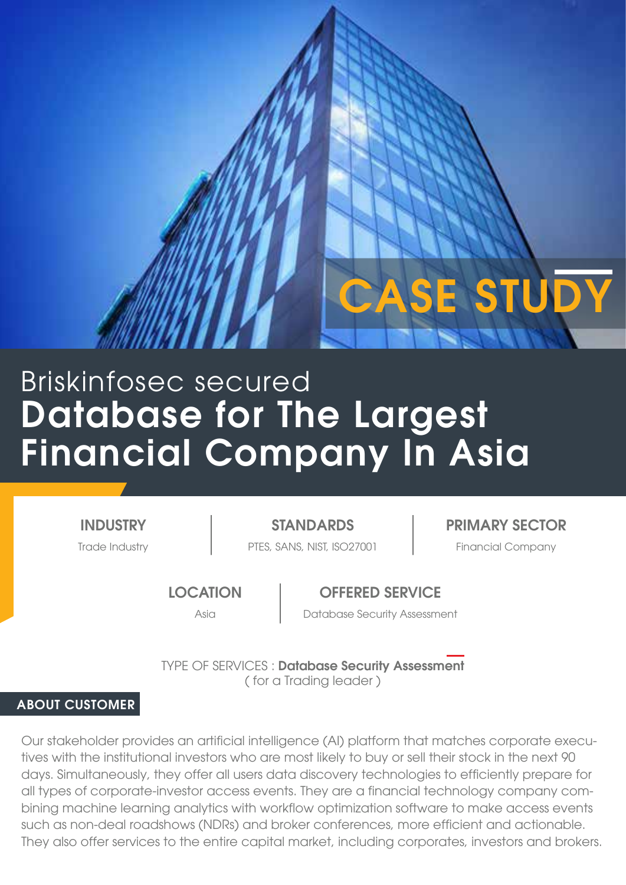# Database for The Largest Financial Company In Asia Briskinfosec secured

INDUSTRY

Trade Industry **PTES, SANS, NIST, ISO27001** Financial Company

STANDARDS | PRIMARY SECTOR

CASE STUDY

**LOCATION** 

OFFERED SERVICE

Asia Database Security Assessment

TYPE OF SERVICES : Database Security Assessment ( for a Trading leader )

# ABOUT CUSTOMER

Our stakeholder provides an artificial intelligence (AI) platform that matches corporate executives with the institutional investors who are most likely to buy or sell their stock in the next 90 days. Simultaneously, they offer all users data discovery technologies to efficiently prepare for all types of corporate-investor access events. They are a financial technology company combining machine learning analytics with workflow optimization software to make access events such as non-deal roadshows (NDRs) and broker conferences, more efficient and actionable. They also offer services to the entire capital market, including corporates, investors and brokers.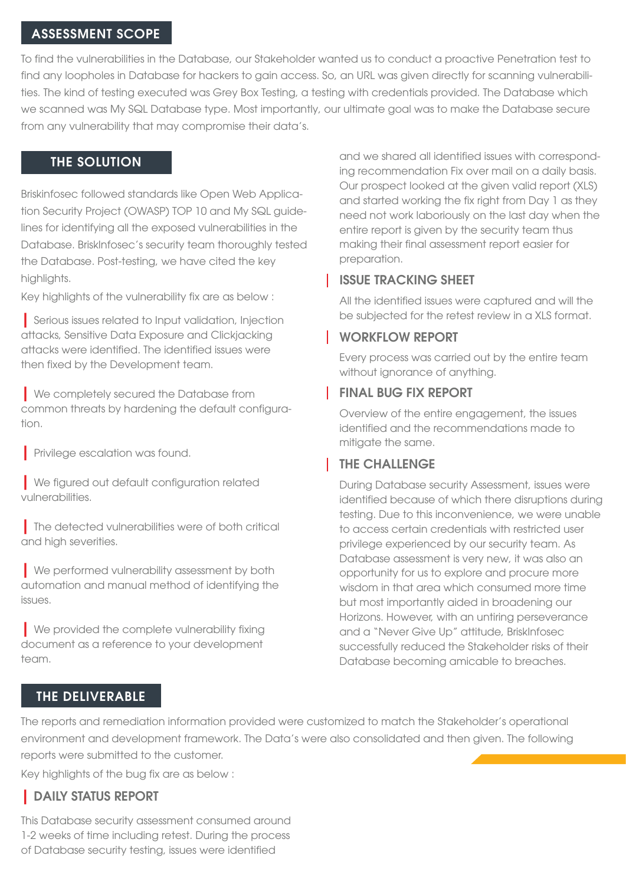#### ASSESSMENT SCOPE

To find the vulnerabilities in the Database, our Stakeholder wanted us to conduct a proactive Penetration test to find any loopholes in Database for hackers to gain access. So, an URL was given directly for scanning vulnerabilities. The kind of testing executed was Grey Box Testing, a testing with credentials provided. The Database which we scanned was My SQL Database type. Most importantly, our ultimate goal was to make the Database secure from any vulnerability that may compromise their data's.

#### THE SOLUTION

Briskinfosec followed standards like Open Web Application Security Project (OWASP) TOP 10 and My SQL guidelines for identifying all the exposed vulnerabilities in the Database. BriskInfosec's security team thoroughly tested the Database. Post-testing, we have cited the key highlights.

Key highlights of the vulnerability fix are as below :

| Serious issues related to Input validation, Injection attacks, Sensitive Data Exposure and Clickjacking attacks were identified. The identified issues were then fixed by the Development team.

| We completely secured the Database from common threats by hardening the default configuration.

**Privilege escalation was found.** 

| We figured out default configuration related vulnerabilities.

| The detected vulnerabilities were of both critical and high severities.

**Ne performed vulnerability assessment by both** automation and manual method of identifying the issues.

| We provided the complete vulnerability fixing document as a reference to your development team.

and we shared all identified issues with corresponding recommendation Fix over mail on a daily basis. Our prospect looked at the given valid report (XLS) and started working the fix right from Day 1 as they need not work laboriously on the last day when the entire report is given by the security team thus making their final assessment report easier for preparation.

# ISSUE TRACKING SHEET

All the identified issues were captured and will the be subjected for the retest review in a XLS format.

### WORKFLOW REPORT

Every process was carried out by the entire team without ignorance of anything.

## FINAL BUG FIX REPORT

Overview of the entire engagement, the issues identified and the recommendations made to mitigate the same.

# THE CHALLENGE

During Database security Assessment, issues were identified because of which there disruptions during testing. Due to this inconvenience, we were unable to access certain credentials with restricted user privilege experienced by our security team. As Database assessment is very new, it was also an opportunity for us to explore and procure more wisdom in that area which consumed more time but most importantly aided in broadening our Horizons. However, with an untiring perseverance and a "Never Give Up" attitude, BriskInfosec successfully reduced the Stakeholder risks of their Database becoming amicable to breaches.

### THE DELIVERABLE

The reports and remediation information provided were customized to match the Stakeholder's operational environment and development framework. The Data's were also consolidated and then given. The following reports were submitted to the customer.

Key highlights of the bug fix are as below :

# | DAILY STATUS REPORT

This Database security assessment consumed around 1-2 weeks of time including retest. During the process of Database security testing, issues were identified